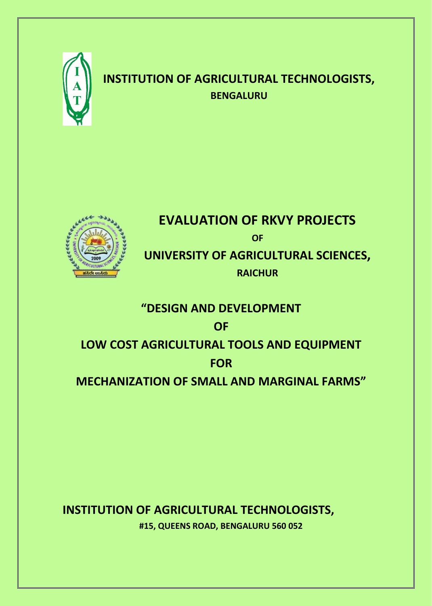

## **INSTITUTION OF AGRICULTURAL TECHNOLOGISTS, BENGALURU**



### **EVALUATION OF RKVY PROJECTS OF**

**UNIVERSITY OF AGRICULTURAL SCIENCES, RAICHUR**

# **"DESIGN AND DEVELOPMENT**

**OF** 

## **LOW COST AGRICULTURAL TOOLS AND EQUIPMENT FOR**

**MECHANIZATION OF SMALL AND MARGINAL FARMS"**

**INSTITUTION OF AGRICULTURAL TECHNOLOGISTS, #15, QUEENS ROAD, BENGALURU 560 052**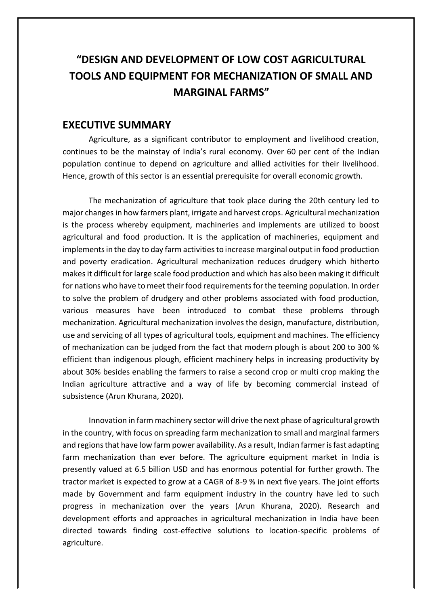## **"DESIGN AND DEVELOPMENT OF LOW COST AGRICULTURAL TOOLS AND EQUIPMENT FOR MECHANIZATION OF SMALL AND MARGINAL FARMS"**

#### **EXECUTIVE SUMMARY**

Agriculture, as a significant contributor to employment and livelihood creation, continues to be the mainstay of India's rural economy. Over 60 per cent of the Indian population continue to depend on agriculture and allied activities for their livelihood. Hence, growth of this sector is an essential prerequisite for overall economic growth.

The mechanization of agriculture that took place during the 20th century led to major changes in how farmers plant, irrigate and harvest crops. Agricultural mechanization is the process whereby equipment, machineries and implements are utilized to boost agricultural and food production. It is the application of machineries, equipment and implements in the day to day farm activities to increase marginal output in food production and poverty eradication. Agricultural mechanization reduces drudgery which hitherto makes it difficult for large scale food production and which has also been making it difficult for nations who have to meet their food requirements for the teeming population. In order to solve the problem of drudgery and other problems associated with food production, various measures have been introduced to combat these problems through mechanization. Agricultural mechanization involves the design, manufacture, distribution, use and servicing of all types of agricultural tools, equipment and machines. The efficiency of mechanization can be judged from the fact that modern plough is about 200 to 300 % efficient than indigenous plough, efficient machinery helps in increasing productivity by about 30% besides enabling the farmers to raise a second crop or multi crop making the Indian agriculture attractive and a way of life by becoming commercial instead of subsistence (Arun Khurana, 2020).

Innovation in farm machinery sector will drive the next phase of agricultural growth in the country, with focus on spreading farm mechanization to small and marginal farmers and regions that have low farm power availability. As a result, Indian farmer is fast adapting farm mechanization than ever before. The agriculture equipment market in India is presently valued at 6.5 billion USD and has enormous potential for further growth. The tractor market is expected to grow at a CAGR of 8-9 % in next five years. The joint efforts made by Government and farm equipment industry in the country have led to such progress in mechanization over the years (Arun Khurana, 2020). Research and development efforts and approaches in agricultural mechanization in India have been directed towards finding cost-effective solutions to location-specific problems of agriculture.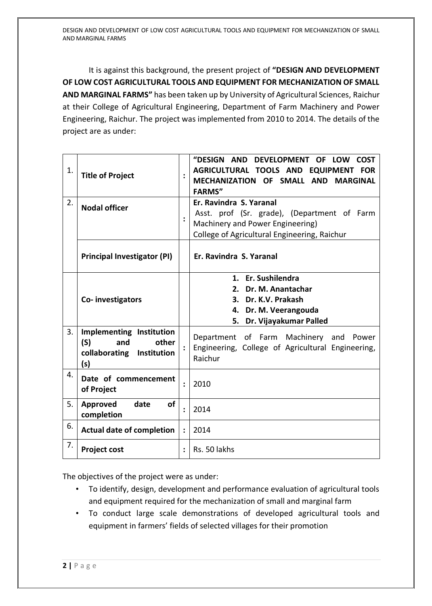It is against this background, the present project of **"DESIGN AND DEVELOPMENT OF LOW COST AGRICULTURAL TOOLS AND EQUIPMENT FOR MECHANIZATION OF SMALL AND MARGINAL FARMS"** has been taken up by University of Agricultural Sciences, Raichur at their College of Agricultural Engineering, Department of Farm Machinery and Power Engineering, Raichur. The project was implemented from 2010 to 2014. The details of the project are as under:

| 1. | <b>Title of Project</b>                                                                |                      | "DESIGN AND DEVELOPMENT OF LOW<br><b>COST</b><br>AGRICULTURAL TOOLS AND EQUIPMENT FOR<br>MECHANIZATION OF SMALL AND MARGINAL<br><b>FARMS"</b>              |
|----|----------------------------------------------------------------------------------------|----------------------|------------------------------------------------------------------------------------------------------------------------------------------------------------|
| 2. | <b>Nodal officer</b>                                                                   |                      | Er. Ravindra S. Yaranal<br>Asst. prof (Sr. grade), (Department of Farm<br>Machinery and Power Engineering)<br>College of Agricultural Engineering, Raichur |
|    | <b>Principal Investigator (PI)</b>                                                     |                      | Er. Ravindra S. Yaranal                                                                                                                                    |
|    | Co-investigators                                                                       |                      | 1. Er. Sushilendra<br>Dr. M. Anantachar<br>2.<br>3. Dr. K.V. Prakash<br>4. Dr. M. Veerangouda<br>Dr. Vijayakumar Palled<br>5.                              |
| 3. | Implementing Institution<br>(S)<br>other<br>and<br>collaborating<br>Institution<br>(s) |                      | Department of Farm Machinery and Power<br>Engineering, College of Agricultural Engineering,<br>Raichur                                                     |
| 4. |                                                                                        |                      |                                                                                                                                                            |
|    | Date of commencement<br>of Project                                                     | $\ddot{\cdot}$       | 2010                                                                                                                                                       |
| 5. | Approved<br>date<br>οf<br>completion                                                   |                      | 2014                                                                                                                                                       |
| 6. | <b>Actual date of completion</b>                                                       | $\ddot{\phantom{a}}$ | 2014                                                                                                                                                       |

The objectives of the project were as under:

- To identify, design, development and performance evaluation of agricultural tools and equipment required for the mechanization of small and marginal farm
- To conduct large scale demonstrations of developed agricultural tools and equipment in farmers' fields of selected villages for their promotion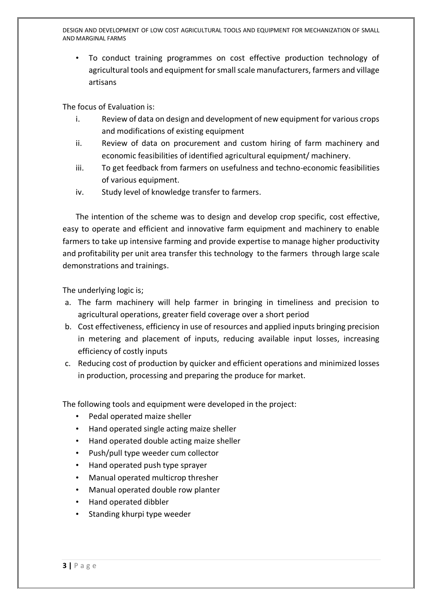DESIGN AND DEVELOPMENT OF LOW COST AGRICULTURAL TOOLS AND EQUIPMENT FOR MECHANIZATION OF SMALL AND MARGINAL FARMS

• To conduct training programmes on cost effective production technology of agricultural tools and equipment for small scale manufacturers, farmers and village artisans

The focus of Evaluation is:

- i. Review of data on design and development of new equipment for various crops and modifications of existing equipment
- ii. Review of data on procurement and custom hiring of farm machinery and economic feasibilities of identified agricultural equipment/ machinery.
- iii. To get feedback from farmers on usefulness and techno-economic feasibilities of various equipment.
- iv. Study level of knowledge transfer to farmers.

The intention of the scheme was to design and develop crop specific, cost effective, easy to operate and efficient and innovative farm equipment and machinery to enable farmers to take up intensive farming and provide expertise to manage higher productivity and profitability per unit area transfer this technology to the farmers through large scale demonstrations and trainings.

The underlying logic is;

- a. The farm machinery will help farmer in bringing in timeliness and precision to agricultural operations, greater field coverage over a short period
- b. Cost effectiveness, efficiency in use of resources and applied inputs bringing precision in metering and placement of inputs, reducing available input losses, increasing efficiency of costly inputs
- c. Reducing cost of production by quicker and efficient operations and minimized losses in production, processing and preparing the produce for market.

The following tools and equipment were developed in the project:

- Pedal operated maize sheller
- Hand operated single acting maize sheller
- Hand operated double acting maize sheller
- Push/pull type weeder cum collector
- Hand operated push type sprayer
- Manual operated multicrop thresher
- Manual operated double row planter
- Hand operated dibbler
- Standing khurpi type weeder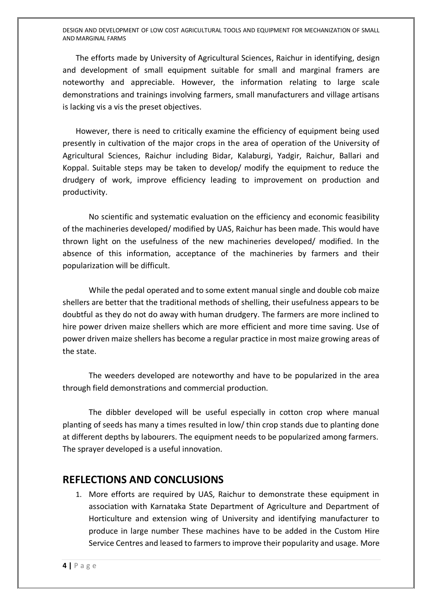DESIGN AND DEVELOPMENT OF LOW COST AGRICULTURAL TOOLS AND EQUIPMENT FOR MECHANIZATION OF SMALL AND MARGINAL FARMS

The efforts made by University of Agricultural Sciences, Raichur in identifying, design and development of small equipment suitable for small and marginal framers are noteworthy and appreciable. However, the information relating to large scale demonstrations and trainings involving farmers, small manufacturers and village artisans is lacking vis a vis the preset objectives.

However, there is need to critically examine the efficiency of equipment being used presently in cultivation of the major crops in the area of operation of the University of Agricultural Sciences, Raichur including Bidar, Kalaburgi, Yadgir, Raichur, Ballari and Koppal. Suitable steps may be taken to develop/ modify the equipment to reduce the drudgery of work, improve efficiency leading to improvement on production and productivity.

No scientific and systematic evaluation on the efficiency and economic feasibility of the machineries developed/ modified by UAS, Raichur has been made. This would have thrown light on the usefulness of the new machineries developed/ modified. In the absence of this information, acceptance of the machineries by farmers and their popularization will be difficult.

While the pedal operated and to some extent manual single and double cob maize shellers are better that the traditional methods of shelling, their usefulness appears to be doubtful as they do not do away with human drudgery. The farmers are more inclined to hire power driven maize shellers which are more efficient and more time saving. Use of power driven maize shellers has become a regular practice in most maize growing areas of the state.

The weeders developed are noteworthy and have to be popularized in the area through field demonstrations and commercial production.

The dibbler developed will be useful especially in cotton crop where manual planting of seeds has many a times resulted in low/ thin crop stands due to planting done at different depths by labourers. The equipment needs to be popularized among farmers. The sprayer developed is a useful innovation.

#### **REFLECTIONS AND CONCLUSIONS**

1. More efforts are required by UAS, Raichur to demonstrate these equipment in association with Karnataka State Department of Agriculture and Department of Horticulture and extension wing of University and identifying manufacturer to produce in large number These machines have to be added in the Custom Hire Service Centres and leased to farmers to improve their popularity and usage. More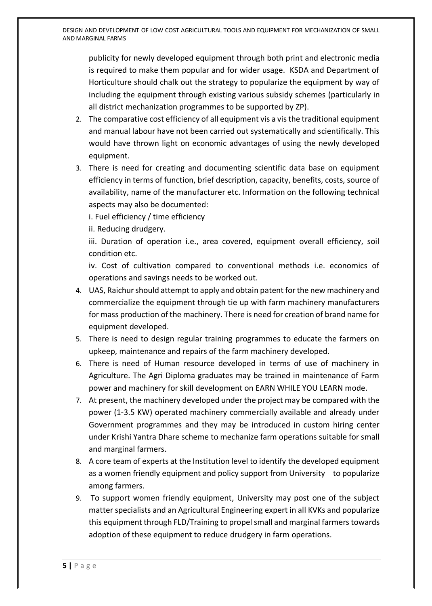publicity for newly developed equipment through both print and electronic media is required to make them popular and for wider usage. KSDA and Department of Horticulture should chalk out the strategy to popularize the equipment by way of including the equipment through existing various subsidy schemes (particularly in all district mechanization programmes to be supported by ZP).

- 2. The comparative cost efficiency of all equipment vis a vis the traditional equipment and manual labour have not been carried out systematically and scientifically. This would have thrown light on economic advantages of using the newly developed equipment.
- 3. There is need for creating and documenting scientific data base on equipment efficiency in terms of function, brief description, capacity, benefits, costs, source of availability, name of the manufacturer etc. Information on the following technical aspects may also be documented:

i. Fuel efficiency / time efficiency

ii. Reducing drudgery.

iii. Duration of operation i.e., area covered, equipment overall efficiency, soil condition etc.

iv. Cost of cultivation compared to conventional methods i.e. economics of operations and savings needs to be worked out.

- 4. UAS, Raichur should attempt to apply and obtain patent for the new machinery and commercialize the equipment through tie up with farm machinery manufacturers for mass production of the machinery. There is need for creation of brand name for equipment developed.
- 5. There is need to design regular training programmes to educate the farmers on upkeep, maintenance and repairs of the farm machinery developed.
- 6. There is need of Human resource developed in terms of use of machinery in Agriculture. The Agri Diploma graduates may be trained in maintenance of Farm power and machinery for skill development on EARN WHILE YOU LEARN mode.
- 7. At present, the machinery developed under the project may be compared with the power (1-3.5 KW) operated machinery commercially available and already under Government programmes and they may be introduced in custom hiring center under Krishi Yantra Dhare scheme to mechanize farm operations suitable for small and marginal farmers.
- 8. A core team of experts at the Institution level to identify the developed equipment as a women friendly equipment and policy support from University to popularize among farmers.
- 9. To support women friendly equipment, University may post one of the subject matter specialists and an Agricultural Engineering expert in all KVKs and popularize this equipment through FLD/Training to propel small and marginal farmerstowards adoption of these equipment to reduce drudgery in farm operations.